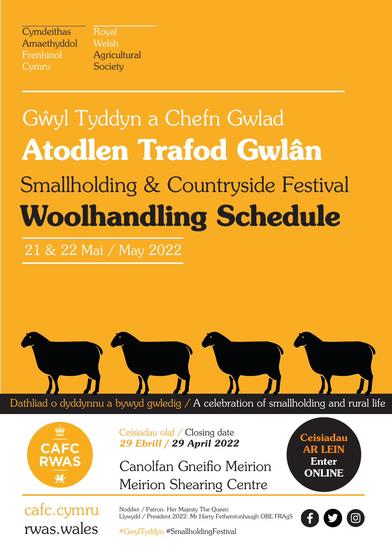| Cymdeithas  |
|-------------|
| Amaethyddol |
| Frenhinol   |
| Cymru       |

Royal Welsh Agricultural **Society** 

# Smallholding & Countryside Festival Woolhandling Schedule Gŵyl Tyddyn a Chefn Gwlad Atodlen Trafod Gwlân

21 & 22 Mai / May 2022



Dathliad o dyddynnu a bywyd gwledig / A celebration of smallholding and rural life



Ceisiadau olaf / Closing date *29 Ebrill / 29 April 2022*

Canolfan Gneifio Meirion Meirion Shearing Centre

**Ceisiadau** AR LEIN Enter ONLINE

cafc.cymru rwas.wales #GwylTyddyn #SmallholdingFestival

Noddwr / Patron: Her Majesty The Queen Llywydd / President 2022: Mr Harry Fetherstonhaugh OBE FRAgS

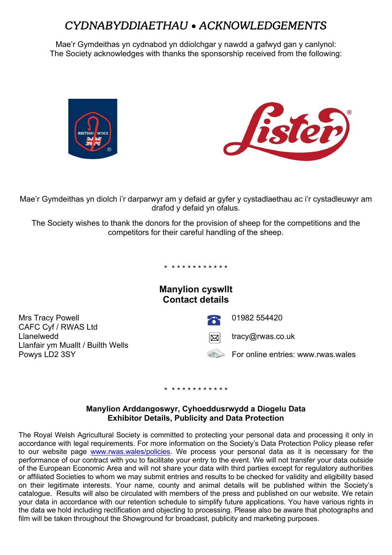# *CYDNABYDDIAETHAU* • *ACKNOWLEDGEMENTS*

Mae'r Gymdeithas yn cydnabod yn ddiolchgar y nawdd a gafwyd gan y canlynol: The Society acknowledges with thanks the sponsorship received from the following:





Mae'r Gymdeithas yn diolch i'r darparwyr am y defaid ar gyfer y cystadlaethau ac i'r cystadleuwyr am drafod y defaid yn ofalus.

The Society wishes to thank the donors for the provision of sheep for the competitions and the competitors for their careful handling of the sheep.

\* \* \* \* \* \* \* \* \* \* \* \*

**Manylion cyswllt Contact details**

Mrs Tracy Powell 201982 554420 CAFC Cyf / RWAS Ltd<br>Llanelwedd Llanfair ym Muallt / Builth Wells



 $\boxtimes$  tracy@rwas.co.uk

Powys LD2 3SY For online entries: www.rwas.wales

### \* \* \* \* \* \* \* \* \* \* \* \*

### **Manylion Arddangoswyr, Cyhoeddusrwydd a Diogelu Data Exhibitor Details, Publicity and Data Protection**

The Royal Welsh Agricultural Society is committed to protecting your personal data and processing it only in accordance with legal requirements. For more information on the Society's Data Protection Policy please refer to our website page [www.rwas.wales/policies.](http://www.rwas.wales/policies) We process your personal data as it is necessary for the performance of our contract with you to facilitate your entry to the event. We will not transfer your data outside of the European Economic Area and will not share your data with third parties except for regulatory authorities or affiliated Societies to whom we may submit entries and results to be checked for validity and eligibility based on their legitimate interests. Your name, county and animal details will be published within the Society's catalogue. Results will also be circulated with members of the press and published on our website. We retain your data in accordance with our retention schedule to simplify future applications. You have various rights in the data we hold including rectification and objecting to processing. Please also be aware that photographs and film will be taken throughout the Showground for broadcast, publicity and marketing purposes.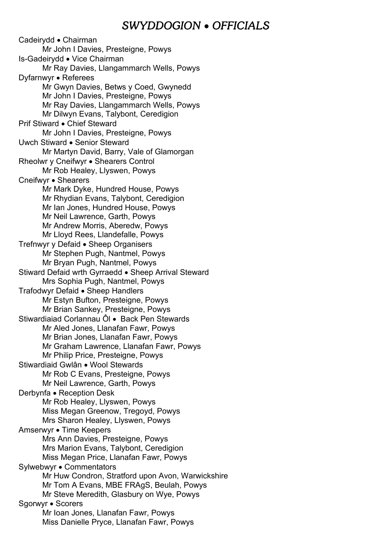## *SWYDDOGION* • *OFFICIALS*

Cadeirydd • Chairman Mr John I Davies, Presteigne, Powys Is-Gadeirydd • Vice Chairman Mr Ray Davies, Llangammarch Wells, Powys Dyfarnwyr • Referees Mr Gwyn Davies, Betws y Coed, Gwynedd Mr John I Davies, Presteigne, Powys Mr Ray Davies, Llangammarch Wells, Powys Mr Dilwyn Evans, Talybont, Ceredigion Prif Stiward • Chief Steward Mr John I Davies, Presteigne, Powys Uwch Stiward • Senior Steward Mr Martyn David, Barry, Vale of Glamorgan Rheolwr y Cneifwyr • Shearers Control Mr Rob Healey, Llyswen, Powys Cneifwyr • Shearers Mr Mark Dyke, Hundred House, Powys Mr Rhydian Evans, Talybont, Ceredigion Mr Ian Jones, Hundred House, Powys Mr Neil Lawrence, Garth, Powys Mr Andrew Morris, Aberedw, Powys Mr Lloyd Rees, Llandefalle, Powys Trefnwyr y Defaid • Sheep Organisers Mr Stephen Pugh, Nantmel, Powys Mr Bryan Pugh, Nantmel, Powys Stiward Defaid wrth Gyrraedd • Sheep Arrival Steward Mrs Sophia Pugh, Nantmel, Powys Trafodwyr Defaid • Sheep Handlers Mr Estyn Bufton, Presteigne, Powys Mr Brian Sankey, Presteigne, Powys Stiwardiaiad Corlannau Ôl • Back Pen Stewards Mr Aled Jones, Llanafan Fawr, Powys Mr Brian Jones, Llanafan Fawr, Powys Mr Graham Lawrence, Llanafan Fawr, Powys Mr Philip Price, Presteigne, Powys Stiwardiaid Gwlân • Wool Stewards Mr Rob C Evans, Presteigne, Powys Mr Neil Lawrence, Garth, Powys Derbynfa • Reception Desk Mr Rob Healey, Llyswen, Powys Miss Megan Greenow, Tregoyd, Powys Mrs Sharon Healey, Llyswen, Powys Amserwyr • Time Keepers Mrs Ann Davies, Presteigne, Powys Mrs Marion Evans, Talybont, Ceredigion Miss Megan Price, Llanafan Fawr, Powys Sylwebwyr • Commentators Mr Huw Condron, Stratford upon Avon, Warwickshire Mr Tom A Evans, MBE FRAgS, Beulah, Powys Mr Steve Meredith, Glasbury on Wye, Powys Sgorwyr • Scorers Mr Ioan Jones, Llanafan Fawr, Powys Miss Danielle Pryce, Llanafan Fawr, Powys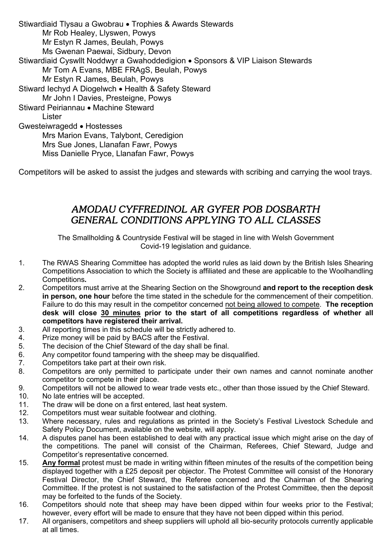Stiwardiaid Tlysau a Gwobrau • Trophies & Awards Stewards Mr Rob Healey, Llyswen, Powys Mr Estyn R James, Beulah, Powys Ms Gwenan Paewai, Sidbury, Devon Stiwardiaid Cyswllt Noddwyr a Gwahoddedigion • Sponsors & VIP Liaison Stewards Mr Tom A Evans, MBE FRAgS, Beulah, Powys Mr Estyn R James, Beulah, Powys Stiward Iechyd A Diogelwch • Health & Safety Steward Mr John I Davies, Presteigne, Powys Stiward Peiriannau • Machine Steward Lister Gwesteiwragedd • Hostesses Mrs Marion Evans, Talybont, Ceredigion Mrs Sue Jones, Llanafan Fawr, Powys Miss Danielle Pryce, Llanafan Fawr, Powys

Competitors will be asked to assist the judges and stewards with scribing and carrying the wool trays.

### *AMODAU CYFFREDINOL AR GYFER POB DOSBARTH GENERAL CONDITIONS APPLYING TO ALL CLASSES*

The Smallholding & Countryside Festival will be staged in line with Welsh Government Covid-19 legislation and guidance.

- 1. The RWAS Shearing Committee has adopted the world rules as laid down by the British Isles Shearing Competitions Association to which the Society is affiliated and these are applicable to the Woolhandling Competitions**.**
- 2. Competitors must arrive at the Shearing Section on the Showground **and report to the reception desk in person, one hour** before the time stated in the schedule for the commencement of their competition. Failure to do this may result in the competitor concerned not being allowed to compete. **The reception desk will close 30 minutes prior to the start of all competitions regardless of whether all competitors have registered their arrival.**
- 3. All reporting times in this schedule will be strictly adhered to.
- 4. Prize money will be paid by BACS after the Festival.
- 5. The decision of the Chief Steward of the day shall be final.
- 6. Any competitor found tampering with the sheep may be disqualified.<br>7. Competitors take part at their own risk.
- 7. Competitors take part at their own risk.<br>8. Competitors are only permitted to par
- Competitors are only permitted to participate under their own names and cannot nominate another competitor to compete in their place.
- 9. Competitors will not be allowed to wear trade vests etc., other than those issued by the Chief Steward.
- 10. No late entries will be accepted.
- 11. The draw will be done on a first entered, last heat system.
- 12. Competitors must wear suitable footwear and clothing.<br>13. Where necessary, rules and regulations as printed in
- Where necessary, rules and regulations as printed in the Society's Festival Livestock Schedule and Safety Policy Document, available on the website, will apply.
- 14. A disputes panel has been established to deal with any practical issue which might arise on the day of the competitions. The panel will consist of the Chairman, Referees, Chief Steward, Judge and Competitor's representative concerned.
- 15. **Any formal** protest must be made in writing within fifteen minutes of the results of the competition being displayed together with a £25 deposit per objector. The Protest Committee will consist of the Honorary Festival Director, the Chief Steward, the Referee concerned and the Chairman of the Shearing Committee. If the protest is not sustained to the satisfaction of the Protest Committee, then the deposit may be forfeited to the funds of the Society.
- 16. Competitors should note that sheep may have been dipped within four weeks prior to the Festival; however, every effort will be made to ensure that they have not been dipped within this period.
- 17. All organisers, competitors and sheep suppliers will uphold all bio-security protocols currently applicable at all times.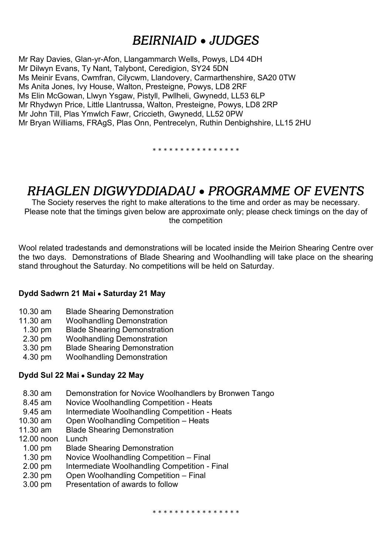# *BEIRNIAID* • *JUDGES*

Mr Ray Davies, Glan-yr-Afon, Llangammarch Wells, Powys, LD4 4DH Mr Dilwyn Evans, Ty Nant, Talybont, Ceredigion, SY24 5DN Ms Meinir Evans, Cwmfran, Cilycwm, Llandovery, Carmarthenshire, SA20 0TW Ms Anita Jones, Ivy House, Walton, Presteigne, Powys, LD8 2RF Ms Elin McGowan, Llwyn Ysgaw, Pistyll, Pwllheli, Gwynedd, LL53 6LP Mr Rhydwyn Price, Little Llantrussa, Walton, Presteigne, Powys, LD8 2RP Mr John Till, Plas Ymwlch Fawr, Criccieth, Gwynedd, LL52 0PW Mr Bryan Williams, FRAgS, Plas Onn, Pentrecelyn, Ruthin Denbighshire, LL15 2HU

\* \* \* \* \* \* \* \* \* \* \* \* \* \* \*

# *RHAGLEN DIGWYDDIADAU* • *PROGRAMME OF EVENTS*

The Society reserves the right to make alterations to the time and order as may be necessary. Please note that the timings given below are approximate only; please check timings on the day of the competition

Wool related tradestands and demonstrations will be located inside the Meirion Shearing Centre over the two days. Demonstrations of Blade Shearing and Woolhandling will take place on the shearing stand throughout the Saturday. No competitions will be held on Saturday.

### **Dydd Sadwrn 21 Mai** • **Saturday 21 May**

- 10.30 am Blade Shearing Demonstration
- 11.30 am Woolhandling Demonstration
- 1.30 pm Blade Shearing Demonstration
- 2.30 pm Woolhandling Demonstration
- 3.30 pm Blade Shearing Demonstration
- 4.30 pm Woolhandling Demonstration

### **Dydd Sul 22 Mai** • **Sunday 22 May**

- 8.30 am Demonstration for Novice Woolhandlers by Bronwen Tango
- 8.45 am Novice Woolhandling Competition Heats
- 9.45 am Intermediate Woolhandling Competition Heats
- 10.30 am Open Woolhandling Competition Heats
- 11.30 am Blade Shearing Demonstration
- 12.00 noon Lunch
- 1.00 pm Blade Shearing Demonstration
- 1.30 pm Novice Woolhandling Competition Final<br>2.00 pm Intermediate Woolhandling Competition -
- Intermediate Woolhandling Competition Final
- 2.30 pm Open Woolhandling Competition Final
- 3.00 pm Presentation of awards to follow

\* \* \* \* \* \* \* \* \* \* \* \* \* \* \*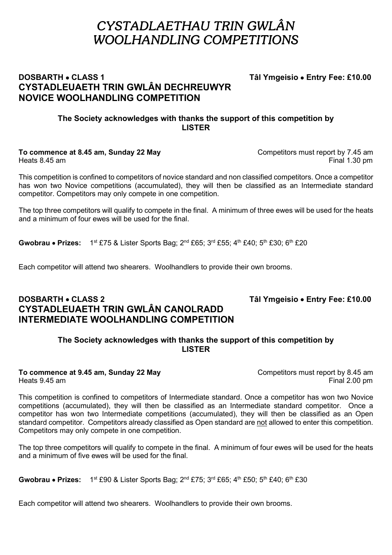# *CYSTADLAETHAU TRIN GWLÂN WOOLHANDLING COMPETITIONS*

### **DOSBARTH • CLASS 1** Tâl Ymgeisio • **Entry Fee: £10.00 CYSTADLEUAETH TRIN GWLÂN DECHREUWYR NOVICE WOOLHANDLING COMPETITION**

### **The Society acknowledges with thanks the support of this competition by LISTER**

**To commence at 8.45 am, Sunday 22 May** Competitors must report by 7.45 am<br>Heats 8.45 am Final 1.30 pm Final 1.30 pm

This competition is confined to competitors of novice standard and non classified competitors. Once a competitor has won two Novice competitions (accumulated), they will then be classified as an Intermediate standard competitor. Competitors may only compete in one competition.

The top three competitors will qualify to compete in the final. A minimum of three ewes will be used for the heats and a minimum of four ewes will be used for the final.

**Gwobrau • Prizes:** 1<sup>st</sup> £75 & Lister Sports Bag: 2<sup>nd</sup> £65; 3<sup>rd</sup> £55; 4<sup>th</sup> £40; 5<sup>th</sup> £30; 6<sup>th</sup> £20

Each competitor will attend two shearers. Woolhandlers to provide their own brooms.

### **DOSBARTH • CLASS 2** Tâl Ymgeisio • **Entry Fee: £10.00 CYSTADLEUAETH TRIN GWLÂN CANOLRADD INTERMEDIATE WOOLHANDLING COMPETITION**

### **The Society acknowledges with thanks the support of this competition by LISTER**

# **To commence at 9.45 am, Sunday 22 May** Competitors must report by 8.45 am

Heats 9.45 am Final 2.00 pm

This competition is confined to competitors of Intermediate standard. Once a competitor has won two Novice competitions (accumulated), they will then be classified as an Intermediate standard competitor. Once a competitor has won two Intermediate competitions (accumulated), they will then be classified as an Open standard competitor. Competitors already classified as Open standard are not allowed to enter this competition. Competitors may only compete in one competition.

The top three competitors will qualify to compete in the final. A minimum of four ewes will be used for the heats and a minimum of five ewes will be used for the final.

**Gwobrau • Prizes:** 1<sup>st</sup> £90 & Lister Sports Bag; 2<sup>nd</sup> £75; 3<sup>rd</sup> £65; 4<sup>th</sup> £50; 5<sup>th</sup> £40; 6<sup>th</sup> £30

Each competitor will attend two shearers. Woolhandlers to provide their own brooms.